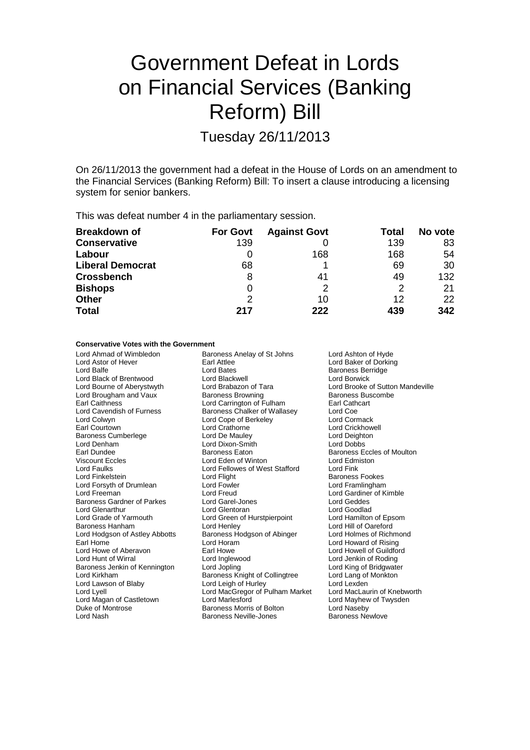# Government Defeat in Lords on Financial Services (Banking Reform) Bill

Tuesday 26/11/2013

On 26/11/2013 the government had a defeat in the House of Lords on an amendment to the Financial Services (Banking Reform) Bill: To insert a clause introducing a licensing system for senior bankers.

This was defeat number 4 in the parliamentary session.

| <b>Breakdown of</b>     | <b>For Govt</b> | <b>Against Govt</b> | Total | No vote |
|-------------------------|-----------------|---------------------|-------|---------|
| <b>Conservative</b>     | 139             |                     | 139   | 83      |
| Labour                  |                 | 168                 | 168   | 54      |
| <b>Liberal Democrat</b> | 68              |                     | 69    | 30      |
| <b>Crossbench</b>       | 8               | 41                  | 49    | 132     |
| <b>Bishops</b>          | 0               | າ                   | 2     | 21      |
| <b>Other</b>            | 2               | 10                  | 12    | 22      |
| <b>Total</b>            | 217             | 222                 | 439   | 342     |

#### **Conservative Votes with the Government**

Lord Ahmad of Wimbledon **Baroness Anelay of St Johns** Lord Ashton of Hyde<br>
Lord Astor of Hever **Baron Earl Attlee** Lord Baker of Dorkin Lord Black of Brentwood Lord Blackwell<br>
Lord Bourne of Aberystwyth Lord Brabazon of Tara Lord Colwyn Lord Cope of Berkeley<br>
Earl Courtown Lord Crathorne Lord Denham Lord Dixon-Smith Lord Dixon-Smith Earl Dundee Controller Controller Controller Baroness Eaton Lord Forsyth of Drumlean Lord Fowler Lord Fowler<br>
Lord Freeman Lord Creud Lord Grade of Yarmouth Lord Green of Hurstpierpoint<br>
Raroness Hanham Lord Henley Lord Lawson of Blaby Lord Nash Baroness Neville-Jones

Lord Astor of Hever **Earl Attlee** Earl Attlee **Construction Lord Baker of Dorking**<br>
Lord Balfe Cord Bates<br>
Lord Baroness Berridge Lord Bates<br>
Lord Blackwell<br>
Lord Borwick Lord Brabazon of Tara <br>
Baroness Browning 
Baroness Buscombe<br>
Baroness Buscombe Lord Brougham and Vaux **Baroness Baroness Browning**<br>Earl Caithness **Busicom Baroness Browning Baroness Buscom**<br>Earl Cathcart Earl Caithness **Earl Carrington of Fulham** Earl Cath<br>Lord Cavendish of Furness **Earl Cathcare Baroness** Chalker of Wallasey Lord Coe Lord Cavendish of Furness Baroness Chalker of Wallasey Lord Coe Lord Crathorne **Lord Crickhowell**<br>
Lord De Mauley **Lord Deighton** Baroness Cumberlege The Lord De Mauley Corporation and Deight<br>
Lord Denham Corporation Lord Dixon-Smith<br>
Lord Dobbs Earl Dundee **Baroness Eaton** Baroness Eaton Baroness Eccles of Moulton<br>
Viscount Eccles **Baroness Eccles Communist Communist Communist Communist Communist Communist Communist Communis** Lord Eden of Winton Lord Faulks Lord Fellowes of West Stafford Lord Fink Lord Flight **Exercise Exercise Footes**<br>Cord Fowler **Baroness Exercise Exercise Footes**<br>Lord Framlingham Lord Freeman Lord Freud Lord Gardiner of Kimble Baroness Gardner of Parkes Lord Garel-Jones<br>
Lord Genarthur Lord Genarthur Lord Genarch Lord Goodlad<br>
Lord Goodlad Lord Glenarthur **Lord Glentoran**<br>
Lord Grade of Yarmouth **Lord Green of Hurstpierpoint** Lord Hamilton of Epsom Lord Hodgson of Astley Abbotts Baroness Hodgson of Abinger Lord Holmes of Richmond<br>
Lord Home Lord Horam Lord Horam Lord Howard of Rising Earl Home **Lord Horam** Lord Horam **Lord Horam** Lord Howard of Rising<br>
Lord Howe **Lord Howard of Guildfor**<br>
Lord Howe **Discussed Community** Carl Howe **Lord Howell** of Guildfor Lord Howe of Aberavon **Earl Howe Earl Howe Constructs** Lord Howell of Guildford<br>
Lord Hunt of Wirral **Earl Howe Lord Inglewood** Lord Jenkin of Roding Lord Inglewood **Lord Lord Lord Inglewood** Lord Joping<br>
Lord Jopling **Corpused Lord Corpused Lord America**<br>
Lord King of Bridgwater Baroness Jenkin of Kennington Lord Jopling Collingtree Lord King of Bridgwate<br>
Lord Kirkham Cord Lang of Monkton Baroness Knight of Collingtree Lord Lang of Monkton Baroness Knight of Collingtree Lord Lang of<br>
Lord Leigh of Hurley Lord Lexden Lord Lyell **Lord MacGregor of Pulham Market** Lord MacLaurin of Knebworth<br>
Lord Magan of Castletown **Lord Markesford** Lord Mayhew of Twysden Lord Magan of Castletown Lord Marlesford<br>
Duke of Montrose Conness Morris of Bolton Cord Naseby Baroness Morris of Bolton Lord Naseby<br>
Baroness Neville-Jones Baroness Newlove

Baroness Hanham Lord Henley Lord Hill of Oareford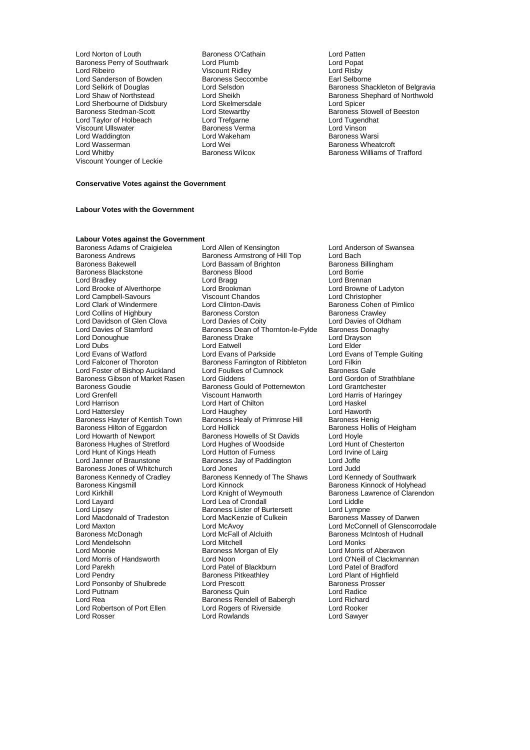Lord Norton of Louth **Baroness O'Cathain** Cord Patten<br>
Baroness Perry of Southwark Lord Plumb **Lord Popat** Baroness Perry of Southwark Lord Plumb Lord Popat<br>
Lord Ribeiro Controllery Corporation Corporation Corporation Corporation Corporation Corporation Corporation C Lord Sanderson of Bowden Baroness Seccombe Baroness Sec-<br>
Baroness Seccombe Earl Selsdon Lord Sherbourne of Didsbury Lord Skelmersd<br>Baroness Stedman-Scott Lord Stewartby Lord Taylor of Holbeach Lord Trefgarne Lord Trefgarne Lord Tugendhat Lord Tugendhat Lord Tugendhat Lord Vinson<br>
Lord Vinson Corp. Baroness Verma Viscount Ullswater **Baroness Verman Viscount Ullswater** Baroness Verman Lord Wakeham Lord Waddington Lord Wakeham Baroness Warsi Lord Wasserman Lord Wei **Communist Communist Communist Communist Communist Communist Communist Communist Communist Communist Communist Communist Communist Communist Communist Communist Communist Communist Communist Communi** Viscount Younger of Leckie

Viscount Ridley<br>
Baroness Seccombe<br>
Earl Selborne<br>
Carl Selborne

Lord Selkirk of Douglas **Lord Selsdon**<br>
Lord Shaw of Northstead **Lord Sheikh**<br>
Lord Shaw of Northwold **Baroness** Shephard of Northwold Lord Sheikh **Cham of Northwold**<br>
Lord Skelmersdale **Baroness Shephard of Northwold**<br>
Lord Spicer Lord Stewartby **Baroness Stowell of Beeston**<br>
Lord Trefgarne **Baroness Stowell of Beeston** Baroness Williams of Trafford

### **Conservative Votes against the Government**

### **Labour Votes with the Government**

Lord Campbell-Savours<br>
Lord Clark of Windermere<br>
Lord Clinton-Davis Lord Dubs (Exemplo 2015)<br>
Lord Evans of Watford (Exemplo 2015)<br>
Lord Evans of Matford (Exemplo 2015) Baroness Goudie Baroness Gould of Potternewton<br>Lord Grenfell Baroness Gould of Potternewton<br>Lord Grenfell Viscount Hanworth Baroness Kennedy of Cradley Baroness Kennedy of The Shaws<br>Baroness Kingsmill Baroness Kenneck Lord Macdonald of Tradeston<br>Lord Maxton Lord Parekh Lord Patel of Blackburn Lord Patel of Blackburn Lord Patel of Bradish Lord Patel of Bradford Durin C Lord Ponsonby of Shulbrede Lord Robertson of Port Ellen

**Labour Votes against the Government** Baroness Adams of Craigielea Lord Allen of Kensington Lord Anderson of Swansea<br>Baroness Andrews Baroness Armstrong of Hill Top Lord Bach Baroness Andrews **Baroness Armstrong of Hill Top** Lord Bach<br>Baroness Bakewell **Baroness Armstrong Contract Armstrong Contract Armstrong Contract Armstrong Baroness Billingham** Lord Bassam of Brighton Baroness B<br>Baroness Blood Barness Baroness Billingham Baroness Blackstone Baroness Blood Lord Borrie Lord Bradley Lord Bragg Lord Brennan Lord Brooke of Alverthorpe Lord Brookman Lord Brooke of Alverthorpe Lord Brookman Lord Brookman Lord Browne of L<br>
Lord Campbell-Savours Viscount Chandos Lord Christopher Lord Clinton-Davis<br>
Baroness Corston<br>
Baroness Crawley<br>
Baroness Crawley Lord Collins of Highbury **Baroness Corston** Baroness Corston Baroness Crawley Lord Davidson of Glen Clova Lord Davies of Coity Lord Davies of Oldham Lord Davies of Stamford **Baroness Dean of Thornton-le-Fylde** Baroness Donaghy<br>Lord Donoughue **Baroness Drake** Lord Drayson Lord Donoughue Baroness Drake Lord Drayson Lord Evans of Watford **Lord Evans of Parkside** Lord Evans of Temple Guiting<br>
Lord Falconer of Thoroton **Baroness Farrington** of Ribbleton Lord Filkin **Baroness Farrington of Ribbleton Lord Filkin<br>Lord Foulkes of Cumnock Baroness Gale** Lord Foster of Bishop Auckland Lord Foulkes of Cumnock Baroness Gale<br>Baroness Gibson of Market Rasen Lord Giddens Cumnock Lord Gordon of Strathblane Baroness Gibson of Market Rasen Lord Giddens Lord Cordon of Strathblane Cordon of Strathblaness Gould of Potternewton Lord Grantchester Lord Grenfell Viscount Hanworth Lord Harris of Haringey Lord Hart of Chilton Lord Haskel<br>
Lord Haughey Lord Haworth Lord Haworth Lord Hattersley **Lord Haughey** Lord Haughey **Lord Haworth**<br>Baroness Hayter of Kentish Town Baroness Healy of Primrose Hill Baroness Henig Baroness Hayter of Kentish Town Baroness Healy of Primrose Hill Baroness Henig<br>Baroness Hilton of Eggardon Lord Hollick Baroness Hollis of Heigham Baroness Hilton of Eggardon Lord Hollick Corporation Baroness Hollick Baroness Howells of St Davids Baroness Howells of St Davids Baroness Howells of St Davids Lord Hoyle<br>
Lord Hughes of Woodside Lord Hunt of Chesterton Baroness Hughes of Stretford Lord Hughes of Woodside Lord Hunt of Chester<br>
Lord Hunt of Kings Heath Lord Hutton of Furness Lord Irvine of Lairg Lord Hunt of Kings Heath Lord Hutton of Furness Cord Hutton of Lord Hutton of Furness Lord Irvine Cord Joffe Cord Joffe Cord Joffe Cord Joffe Cord Joffe Cord Joffe Cord Joffe Cord Joffe Cord Joffe Cord Joffe Cord Joffe Cor Baroness Jay of Paddington Lord Joffe<br>
Lord Jones<br>
Lord Judd Baroness Jones of Whitchurch Lord Jones<br>
Baroness Kennedy of Cradley Baroness Kennedy of The Shaws Lord Kennedy of Southwark Baroness Kingsmill **Exercise Search Conditional Condition**<br>
Lord Kinnock Lord Kingsmill Lord Knight of Weymouth Baroness Lawrence of Clarend Lord Layard Lord Lord Lord Lord Lord Lord Lord Lines Lord Lines Lord Lord Lines Lord Lines Lister of Burtersett Lord Lympne Baroness Lister of Burtersett Lord Lympne<br>
Lord MacKenzie of Culkein
Baroness Massey of Darwen Lord Maxton Lord McAvoy Lord McAvoy Lord McConnell of Glenscorrodale<br>
Baroness McDonagh Cord McFall of Alcluith Baroness McIntosh of Hudnall Baroness McDonagh Lord McFall of Alcluith Baroness McIntosh of Hudnall Lord Mendelsohn Lord Mitchell Lord Mendelsohn Lord Monks<br>
Lord Moonie Baroness Morgan of Ely Lord Morris of Aberavon Lord Morris Morgan of Ely<br>
Lord Morris of Aberavon<br>
Lord Noon<br>
Lord O'Neill of Clackmannan Lord Morris of Handsworth Lord Noon Lord O'Neill of Clackm<br>
Lord Parekh Cord Patel of Blackburn Lord Patel of Bradford **Baroness Pitkeathley Lord Plant of Highfield<br>
Lord Prescott Baroness Prosser** Lord Puttnam **Baroness Quin** Baroness Quin Lord Radice<br>
Lord Rea Cord Richard Baroness Rendell of Babergh Lord Richard Baroness Rendell of Babergh Lord Richard<br>
Lord Rogers of Riverside Lord Rooker Lord Rosser Lord Rowlands Lord Sawyer

Baroness Lawrence of Clarendon<br>Lord Liddle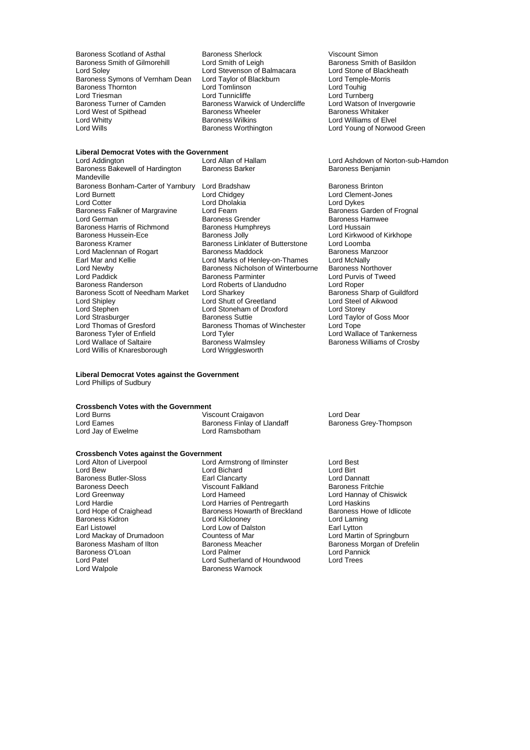Baroness Scotland of Asthal Baroness Sherlock Consumers Sherlock Consumers Smith of Basildon<br>Baroness Smith of Gilmorehill Lord Smith of Leigh Baroness Smith of Basildon Baroness Smith of Gilmorehill Lord Smith of Leigh Baroness Smith of Basildoness Smith of Basildoness Smith of Basildones<br>Lord Stevenson of Balmacara Lord Stone of Blackheath Baroness Symons of Vernham Dean Lord Taylor of Blackburn Lord Temple-<br>Baroness Thornton Lord Touhig-Morrisson Lord Touhig Baroness Thornton Lord Tomlinson Lord Touhig Lord Triesman **Lord Tunnicliffe** Lord Tunnicliffe Lord Turnberg<br>
Baroness Turner of Camden Baroness Warwick of Undercliffe Lord Watson of Invergowrie Lord West of Spithead Baroness Wheeler Baroness Wheeler Baroness Wilkins Lord Whitty **Communist Communist Communist Communist Communist Communist Communist Communist Communist Communist Communist Communist Communist Communist Communist Communist Communist Communist Communist Communist Communist** 

Lord Stevenson of Balmacara Lord Stone of Black<br>
Lord Taylor of Blackburn Lord Temple-Morris Baroness Warwick of Undercliffe Lord Watson of Invergors Whitaker

### **Liberal Democrat Votes with the Government**

Baroness Bakewell of Hardington Mandeville Baroness Falkner of Margravine Lord Fearn<br>Lord German Baroness Grender Baroness Harris of Richmond Baroness Hum<br>Baroness Hussein-Ece Baroness Jolly Lord Newby **Baroness Nicholson of Winterbourne**<br>
Lord Paddick **Baroness Parminter** Lord Stephen Lord Stoneham of Droxford<br>
Lord Strasburger Contract Baroness Suttie Lord Thomas of Gresford Baroness Thomas of Winchester<br>Baroness Tyler of Enfield Lord Tyler Lord Willis of Knaresborough

Baroness Bonham-Carter of Yarnbury Lord Bradshaw Baroness Brinton<br>Lord Burnett Baroness Brinton Lord Chidgey Lord Clement-Jon Lord Burnett Lord Chidgey Lord Clement-Jones Lord Dholakia<br>Lord Fearn Lord Dykes<br>Baroness Garden of Frognal Baroness Grender **Baroness Hamwee**<br>
Baroness Humphreys<br>
Lord Hussain Baroness Hussein-Ece **Baroness Jolly Lord Kirkwood of Kirkhope**<br>Baroness Kramer **Baroness Linklater of Butterstone** Lord Loomba Baroness Linklater of Butterstone Lord Loomba<br>Baroness Maddock Baroness Manzoor Lord Maclennan of Rogart Baroness Maddock Baroness Manazoor Baroness Manazoor Baroness Manazoor Baroness Manaz<br>Earl Mar and Kellie Baroness Lord Marks of Henley-on-Thames Lord McNally Earl Mar and Kellie <sup>T</sup> Lord Marks of Henley-on-Thames Lord McNally<br>Lord Newby **Lord Marks Of Minimum Baroness** Nicholson of Winterbourne Baroness Northover Lord Paddick **Baroness Parminter** Cord Purvis of Tweed<br>
Baroness Randerson **Baroness Parminter** Cord Roberts of Llandudno **Cord Robert** Lord Roberts of Llandudno<br>
Lord Sharkey<br>
Lord Sharkey<br>
Lord Sharkey Baroness Scott of Needham Market Lord Sharkey and Baroness Sharp of Guilding Lord Street Lord Street Cord Street<br>Lord Shutt of Greetland Lord Street of Aikwood Lord Shipley Lord Shutt of Greetland Lord Steel of Aikwood Lord Strasburger **Baroness Suttie Lord Taylor of Goss Moor**<br>
Lord Thomas of Gresford **Baroness Thomas of Winchester** Lord Tope Baroness Tyler of Enfield Lord Tyler Lord Tyler Lord Wallace of Tankerness<br>
Lord Wallace of Saltaire Lord Baroness Walmsley Lord Wallace of Crosby Baroness Walmsley<br>
Lord Wrigglesworth<br>
Lord Wrigglesworth

#### **Liberal Democrat Votes against the Government** Lord Phillips of Sudbury

### **Crossbench Votes with the Government**

| Lord Burns         | Viscount Craigavon          | Lord Dear |
|--------------------|-----------------------------|-----------|
| Lord Eames         | Baroness Finlay of Llandaff | Baroness  |
| Lord Jay of Ewelme | Lord Ramsbotham             |           |

## **Crossbench Votes against the Government Lord Alton of Liverpool Lord A**

Baroness Butler-Sloss Earl Clancarty<br>
Baroness Deech<br>
Viscount Falkland Lord Mackay of Drumadoon Countess of Mar<br>
Raroness Masham of Ilton Baroness Meacher

Lord Alton of Liverpool Lord Armstrong of Ilminster Lord Best Lord Bichard **Lord Birt**<br> **Earl Clancarty Lord Dannatt** Baroness Deech Viscount Falkland Baroness Fritchie Lord Greenway **Lord Hameed** Lord Hanneed **Lord Hannay of Chiswick**<br>
Lord Hardie **Lord Hanneed** Lord Harries of Pentregarth **Lord Haskins** Lord Hardie **Lord Harries of Pentregarth** Lord Haskins<br>
Lord Hope of Craighead **Baroness Howarth of Breckland** Baroness Howe of Idlicote Lord Hope of Craighead Baroness Howarth of Breckland Baroness Ho<br>Baroness Kidron Lord Kilclooney Lord Laming Lord Kilclooney Earl Listowel **Earl Listowel** Lord Low of Dalston **Earl Lytton** Earl Lytton **Earl Lytton** Lord Martin of Springburn Baroness Meacher **Baroness Morgan of Drefelin**<br>
Lord Palmer **Baroness Morgan of Drefelin** Baroness O'Loan **Cally Lord Palmer** Lord Pannick Lord Pannick Lord Pannick Lord Pannick Lord Pannick Lord Trees Lord Patel **Lord Sutherland of Houndwood**<br>
Lord Walpole **Lord Sutherland Consumers**<br>
Baroness Warnock Baroness Warnock

Lord Young of Norwood Green

Lord Allan of Hallam Lord Ashdown of Norton-sub-Hamdon<br>
Baroness Barker Baroness Benjamin

Baroness Grey-Thompson